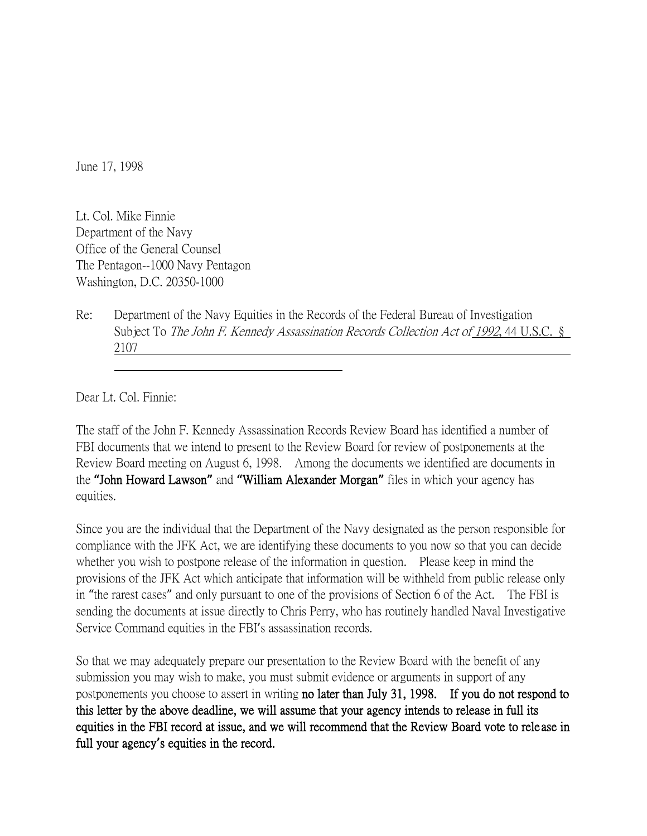June 17, 1998

Lt. Col. Mike Finnie Department of the Navy Office of the General Counsel The Pentagon--1000 Navy Pentagon Washington, D.C. 20350-1000

Re: Department of the Navy Equities in the Records of the Federal Bureau of Investigation Subject To The John F. Kennedy Assassination Records Collection Act of 1992, 44 U.S.C. § 2107

Dear Lt. Col. Finnie:

The staff of the John F. Kennedy Assassination Records Review Board has identified a number of FBI documents that we intend to present to the Review Board for review of postponements at the Review Board meeting on August 6, 1998. Among the documents we identified are documents in the **"**John Howard Lawson**"** and **"**William Alexander Morgan**"** files in which your agency has equities.

Since you are the individual that the Department of the Navy designated as the person responsible for compliance with the JFK Act, we are identifying these documents to you now so that you can decide whether you wish to postpone release of the information in question. Please keep in mind the provisions of the JFK Act which anticipate that information will be withheld from public release only in "the rarest cases" and only pursuant to one of the provisions of Section 6 of the Act. The FBI is sending the documents at issue directly to Chris Perry, who has routinely handled Naval Investigative Service Command equities in the FBI's assassination records.

So that we may adequately prepare our presentation to the Review Board with the benefit of any submission you may wish to make, you must submit evidence or arguments in support of any postponements you choose to assert in writing no later than July 31, 1998. If you do not respond to this letter by the above deadline, we will assume that your agency intends to release in full its equities in the FBI record at issue, and we will recommend that the Review Board vote to rele ase in full your agency**'**s equities in the record.